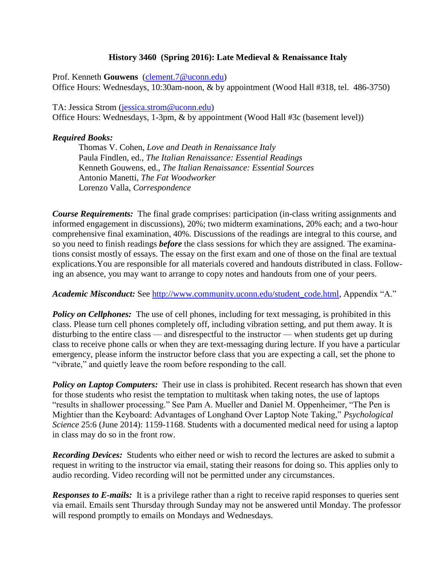## **History 3460 (Spring 2016): Late Medieval & Renaissance Italy**

Prof. Kenneth **Gouwens** [\(clement.7@uconn.edu\)](mailto:clement.7@uconn.edu) Office Hours: Wednesdays, 10:30am-noon, & by appointment (Wood Hall #318, tel. 486-3750)

TA: Jessica Strom [\(jessica.strom@uconn.edu\)](mailto:jessica.strom@uconn.edu) Office Hours: Wednesdays, 1-3pm, & by appointment (Wood Hall #3c (basement level))

## *Required Books:*

Thomas V. Cohen, *Love and Death in Renaissance Italy* Paula Findlen, ed., *The Italian Renaissance: Essential Readings* Kenneth Gouwens, ed., *The Italian Renaissance: Essential Sources* Antonio Manetti, *The Fat Woodworker* Lorenzo Valla, *Correspondence*

*Course Requirements:* The final grade comprises: participation (in-class writing assignments and informed engagement in discussions), 20%; two midterm examinations, 20% each; and a two-hour comprehensive final examination, 40%. Discussions of the readings are integral to this course, and so you need to finish readings *before* the class sessions for which they are assigned. The examinations consist mostly of essays. The essay on the first exam and one of those on the final are textual explications.You are responsible for all materials covered and handouts distributed in class. Following an absence, you may want to arrange to copy notes and handouts from one of your peers.

*Academic Misconduct:* See [http://www.community.uconn.edu/student\\_code.html,](http://www.community.uconn.edu/student_code.html) Appendix "A."

**Policy on Cellphones:** The use of cell phones, including for text messaging, is prohibited in this class. Please turn cell phones completely off, including vibration setting, and put them away. It is disturbing to the entire class — and disrespectful to the instructor — when students get up during class to receive phone calls or when they are text-messaging during lecture. If you have a particular emergency, please inform the instructor before class that you are expecting a call, set the phone to "vibrate," and quietly leave the room before responding to the call.

**Policy on Laptop Computers:** Their use in class is prohibited. Recent research has shown that even for those students who resist the temptation to multitask when taking notes, the use of laptops "results in shallower processing." See Pam A. Mueller and Daniel M. Oppenheimer, "The Pen is Mightier than the Keyboard: Advantages of Longhand Over Laptop Note Taking," *Psychological Science* 25:6 (June 2014): 1159-1168. Students with a documented medical need for using a laptop in class may do so in the front row.

*Recording Devices:* Students who either need or wish to record the lectures are asked to submit a request in writing to the instructor via email, stating their reasons for doing so. This applies only to audio recording. Video recording will not be permitted under any circumstances.

*Responses to E-mails:* It is a privilege rather than a right to receive rapid responses to queries sent via email. Emails sent Thursday through Sunday may not be answered until Monday. The professor will respond promptly to emails on Mondays and Wednesdays.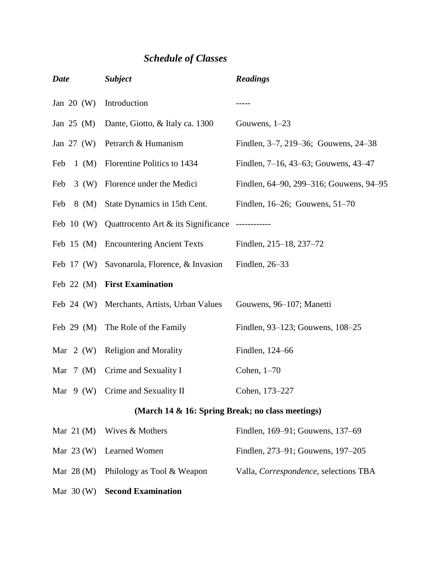## *Schedule of Classes*

| <b>Date</b>                                      | <b>Subject</b>                                   | <b>Readings</b>                         |
|--------------------------------------------------|--------------------------------------------------|-----------------------------------------|
| Jan $20 \ (W)$                                   | Introduction                                     |                                         |
| Jan $25 \, (M)$                                  | Dante, Giotto, & Italy ca. 1300                  | Gouwens, $1-23$                         |
| Jan $27 \, (W)$                                  | Petrarch & Humanism                              | Findlen, 3-7, 219-36; Gouwens, 24-38    |
| $1 \, (M)$<br>Feb                                | Florentine Politics to 1434                      | Findlen, 7–16, 43–63; Gouwens, 43–47    |
| Feb<br>3(W)                                      | Florence under the Medici                        | Findlen, 64–90, 299–316; Gouwens, 94–95 |
| Feb<br>$8 \, (M)$                                | State Dynamics in 15th Cent.                     | Findlen, 16–26; Gouwens, 51–70          |
|                                                  | Feb 10 (W) Quattrocento Art $&$ its Significance |                                         |
| Feb $15 \, (M)$                                  | <b>Encountering Ancient Texts</b>                | Findlen, 215–18, 237–72                 |
| Feb $17 \, (W)$                                  | Savonarola, Florence, & Invasion                 | Findlen, 26-33                          |
| Feb $22$ (M)                                     | <b>First Examination</b>                         |                                         |
| Feb $24$ (W)                                     | Merchants, Artists, Urban Values                 | Gouwens, 96–107; Manetti                |
| Feb $29$ (M)                                     | The Role of the Family                           | Findlen, 93–123; Gouwens, 108–25        |
| Mar $2(W)$                                       | <b>Religion and Morality</b>                     | Findlen, 124-66                         |
| Mar $7 \ (M)$                                    | Crime and Sexuality I                            | Cohen, $1-70$                           |
| Mar $9(W)$                                       | Crime and Sexuality II                           | Cohen, 173-227                          |
| (March 14 & 16: Spring Break; no class meetings) |                                                  |                                         |
| Mar $21 \, (M)$                                  | Wives & Mothers                                  | Findlen, 169–91; Gouwens, 137–69        |
| Mar $23 \, (W)$                                  | Learned Women                                    | Findlen, 273–91; Gouwens, 197–205       |
| Mar $28 \, (M)$                                  | Philology as Tool & Weapon                       | Valla, Correspondence, selections TBA   |
| Mar $30(W)$                                      | <b>Second Examination</b>                        |                                         |